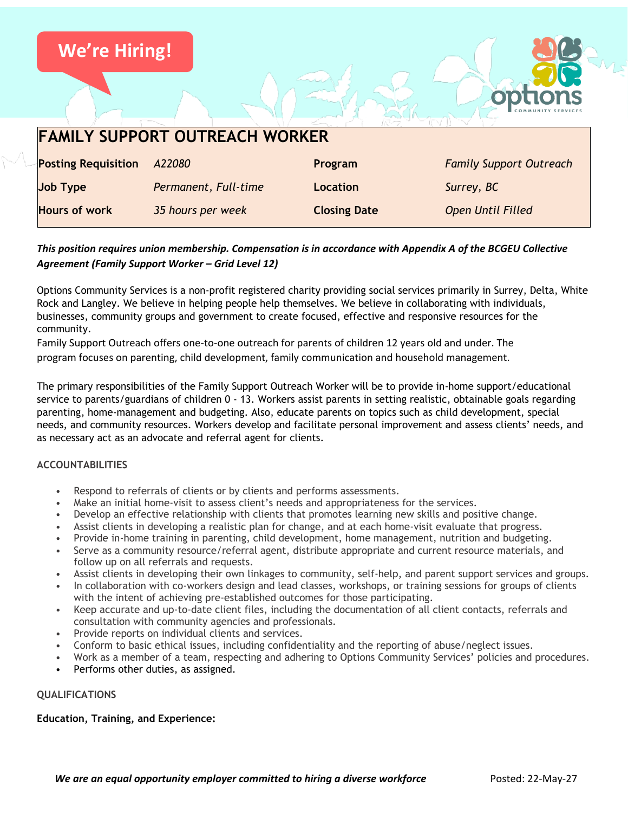

# *This position requires union membership. Compensation is in accordance with Appendix A of the BCGEU Collective Agreement (Family Support Worker – Grid Level 12)*

Options Community Services is a non-profit registered charity providing social services primarily in Surrey, Delta, White Rock and Langley. We believe in helping people help themselves. We believe in collaborating with individuals, businesses, community groups and government to create focused, effective and responsive resources for the community.

Family Support Outreach offers one-to-one outreach for parents of children 12 years old and under. The program focuses on parenting, child development, family communication and household management.

The primary responsibilities of the Family Support Outreach Worker will be to provide in-home support/educational service to parents/guardians of children 0 - 13. Workers assist parents in setting realistic, obtainable goals regarding parenting, home-management and budgeting. Also, educate parents on topics such as child development, special needs, and community resources. Workers develop and facilitate personal improvement and assess clients' needs, and as necessary act as an advocate and referral agent for clients.

## **ACCOUNTABILITIES**

- Respond to referrals of clients or by clients and performs assessments.
- Make an initial home-visit to assess client's needs and appropriateness for the services.
- Develop an effective relationship with clients that promotes learning new skills and positive change.
- Assist clients in developing a realistic plan for change, and at each home-visit evaluate that progress.
- Provide in-home training in parenting, child development, home management, nutrition and budgeting.
- Serve as a community resource/referral agent, distribute appropriate and current resource materials, and follow up on all referrals and requests.
- Assist clients in developing their own linkages to community, self-help, and parent support services and groups.
- In collaboration with co-workers design and lead classes, workshops, or training sessions for groups of clients with the intent of achieving pre-established outcomes for those participating.
- Keep accurate and up-to-date client files, including the documentation of all client contacts, referrals and consultation with community agencies and professionals.
- Provide reports on individual clients and services.
- Conform to basic ethical issues, including confidentiality and the reporting of abuse/neglect issues.
- Work as a member of a team, respecting and adhering to Options Community Services' policies and procedures.
- Performs other duties, as assigned.

## **QUALIFICATIONS**

#### **Education, Training, and Experience:**